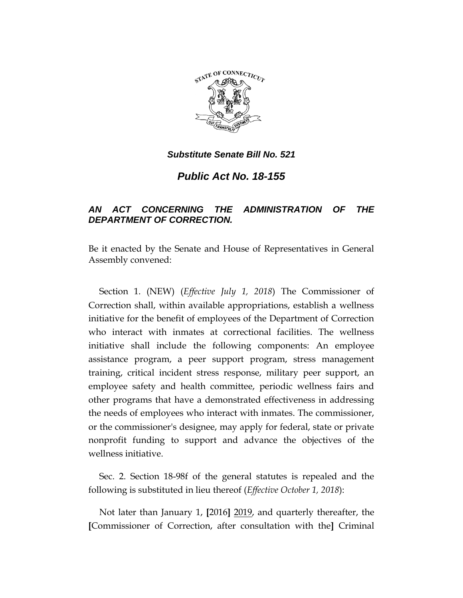

*Public Act No. 18-155*

# *AN ACT CONCERNING THE ADMINISTRATION OF THE DEPARTMENT OF CORRECTION.*

Be it enacted by the Senate and House of Representatives in General Assembly convened:

Section 1. (NEW) (*Effective July 1, 2018*) The Commissioner of Correction shall, within available appropriations, establish a wellness initiative for the benefit of employees of the Department of Correction who interact with inmates at correctional facilities. The wellness initiative shall include the following components: An employee assistance program, a peer support program, stress management training, critical incident stress response, military peer support, an employee safety and health committee, periodic wellness fairs and other programs that have a demonstrated effectiveness in addressing the needs of employees who interact with inmates. The commissioner, or the commissioner's designee, may apply for federal, state or private nonprofit funding to support and advance the objectives of the wellness initiative.

Sec. 2. Section 18-98f of the general statutes is repealed and the following is substituted in lieu thereof (*Effective October 1, 2018*):

Not later than January 1, **[**2016**]** 2019, and quarterly thereafter, the **[**Commissioner of Correction, after consultation with the**]** Criminal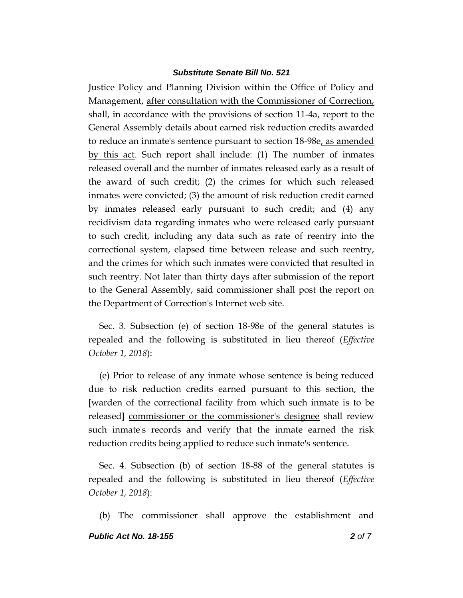Justice Policy and Planning Division within the Office of Policy and Management, after consultation with the Commissioner of Correction, shall, in accordance with the provisions of section 11-4a, report to the General Assembly details about earned risk reduction credits awarded to reduce an inmate's sentence pursuant to section 18-98e, as amended by this act. Such report shall include: (1) The number of inmates released overall and the number of inmates released early as a result of the award of such credit; (2) the crimes for which such released inmates were convicted; (3) the amount of risk reduction credit earned by inmates released early pursuant to such credit; and (4) any recidivism data regarding inmates who were released early pursuant to such credit, including any data such as rate of reentry into the correctional system, elapsed time between release and such reentry, and the crimes for which such inmates were convicted that resulted in such reentry. Not later than thirty days after submission of the report to the General Assembly, said commissioner shall post the report on the Department of Correction's Internet web site.

Sec. 3. Subsection (e) of section 18-98e of the general statutes is repealed and the following is substituted in lieu thereof (*Effective October 1, 2018*):

(e) Prior to release of any inmate whose sentence is being reduced due to risk reduction credits earned pursuant to this section, the **[**warden of the correctional facility from which such inmate is to be released**]** commissioner or the commissioner's designee shall review such inmate's records and verify that the inmate earned the risk reduction credits being applied to reduce such inmate's sentence.

Sec. 4. Subsection (b) of section 18-88 of the general statutes is repealed and the following is substituted in lieu thereof (*Effective October 1, 2018*):

(b) The commissioner shall approve the establishment and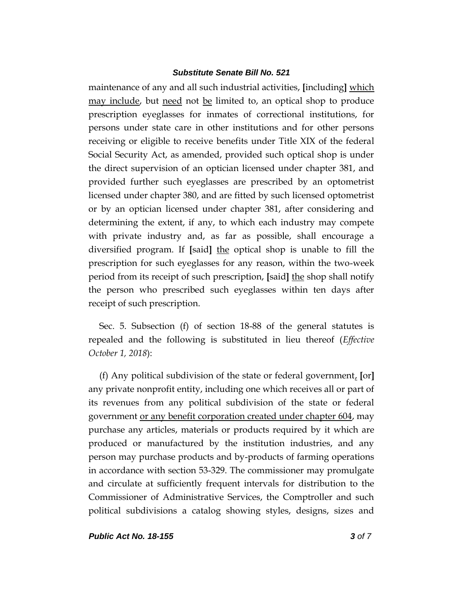maintenance of any and all such industrial activities, **[**including**]** which may include, but need not be limited to, an optical shop to produce prescription eyeglasses for inmates of correctional institutions, for persons under state care in other institutions and for other persons receiving or eligible to receive benefits under Title XIX of the federal Social Security Act, as amended, provided such optical shop is under the direct supervision of an optician licensed under chapter 381, and provided further such eyeglasses are prescribed by an optometrist licensed under chapter 380, and are fitted by such licensed optometrist or by an optician licensed under chapter 381, after considering and determining the extent, if any, to which each industry may compete with private industry and, as far as possible, shall encourage a diversified program. If **[**said**]** the optical shop is unable to fill the prescription for such eyeglasses for any reason, within the two-week period from its receipt of such prescription, **[**said**]** the shop shall notify the person who prescribed such eyeglasses within ten days after receipt of such prescription.

Sec. 5. Subsection (f) of section 18-88 of the general statutes is repealed and the following is substituted in lieu thereof (*Effective October 1, 2018*):

(f) Any political subdivision of the state or federal government, **[**or**]** any private nonprofit entity, including one which receives all or part of its revenues from any political subdivision of the state or federal government or any benefit corporation created under chapter 604, may purchase any articles, materials or products required by it which are produced or manufactured by the institution industries, and any person may purchase products and by-products of farming operations in accordance with section 53-329. The commissioner may promulgate and circulate at sufficiently frequent intervals for distribution to the Commissioner of Administrative Services, the Comptroller and such political subdivisions a catalog showing styles, designs, sizes and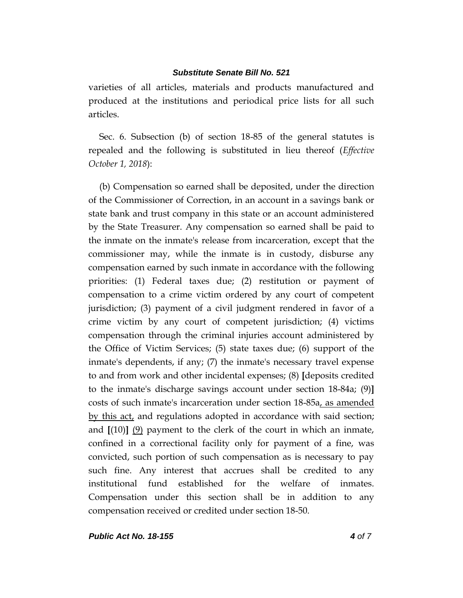varieties of all articles, materials and products manufactured and produced at the institutions and periodical price lists for all such articles.

Sec. 6. Subsection (b) of section 18-85 of the general statutes is repealed and the following is substituted in lieu thereof (*Effective October 1, 2018*):

(b) Compensation so earned shall be deposited, under the direction of the Commissioner of Correction, in an account in a savings bank or state bank and trust company in this state or an account administered by the State Treasurer. Any compensation so earned shall be paid to the inmate on the inmate's release from incarceration, except that the commissioner may, while the inmate is in custody, disburse any compensation earned by such inmate in accordance with the following priorities: (1) Federal taxes due; (2) restitution or payment of compensation to a crime victim ordered by any court of competent jurisdiction; (3) payment of a civil judgment rendered in favor of a crime victim by any court of competent jurisdiction; (4) victims compensation through the criminal injuries account administered by the Office of Victim Services; (5) state taxes due; (6) support of the inmate's dependents, if any; (7) the inmate's necessary travel expense to and from work and other incidental expenses; (8) **[**deposits credited to the inmate's discharge savings account under section 18-84a; (9)**]** costs of such inmate's incarceration under section 18-85a, as amended by this act, and regulations adopted in accordance with said section; and  $[(10)]$   $(9)$  payment to the clerk of the court in which an inmate, confined in a correctional facility only for payment of a fine, was convicted, such portion of such compensation as is necessary to pay such fine. Any interest that accrues shall be credited to any institutional fund established for the welfare of inmates. Compensation under this section shall be in addition to any compensation received or credited under section 18-50.

*Public Act No. 18-155 4 of 7*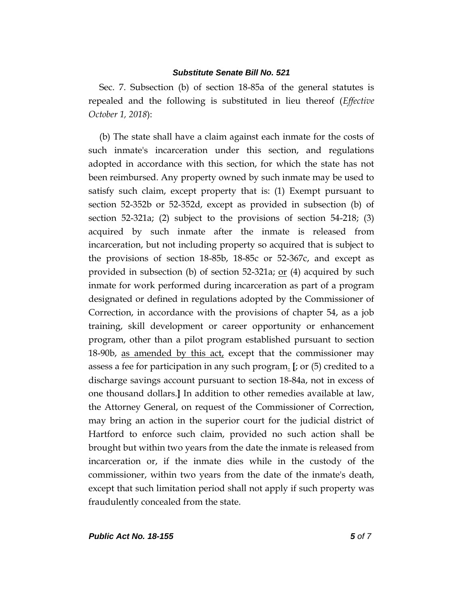Sec. 7. Subsection (b) of section 18-85a of the general statutes is repealed and the following is substituted in lieu thereof (*Effective October 1, 2018*):

(b) The state shall have a claim against each inmate for the costs of such inmate's incarceration under this section, and regulations adopted in accordance with this section, for which the state has not been reimbursed. Any property owned by such inmate may be used to satisfy such claim, except property that is: (1) Exempt pursuant to section 52-352b or 52-352d, except as provided in subsection (b) of section 52-321a; (2) subject to the provisions of section 54-218; (3) acquired by such inmate after the inmate is released from incarceration, but not including property so acquired that is subject to the provisions of section 18-85b, 18-85c or 52-367c, and except as provided in subsection (b) of section 52-321a; <u>or</u> (4) acquired by such inmate for work performed during incarceration as part of a program designated or defined in regulations adopted by the Commissioner of Correction, in accordance with the provisions of chapter 54, as a job training, skill development or career opportunity or enhancement program, other than a pilot program established pursuant to section 18-90b, as amended by this act, except that the commissioner may assess a fee for participation in any such program. **[**; or (5) credited to a discharge savings account pursuant to section 18-84a, not in excess of one thousand dollars.**]** In addition to other remedies available at law, the Attorney General, on request of the Commissioner of Correction, may bring an action in the superior court for the judicial district of Hartford to enforce such claim, provided no such action shall be brought but within two years from the date the inmate is released from incarceration or, if the inmate dies while in the custody of the commissioner, within two years from the date of the inmate's death, except that such limitation period shall not apply if such property was fraudulently concealed from the state.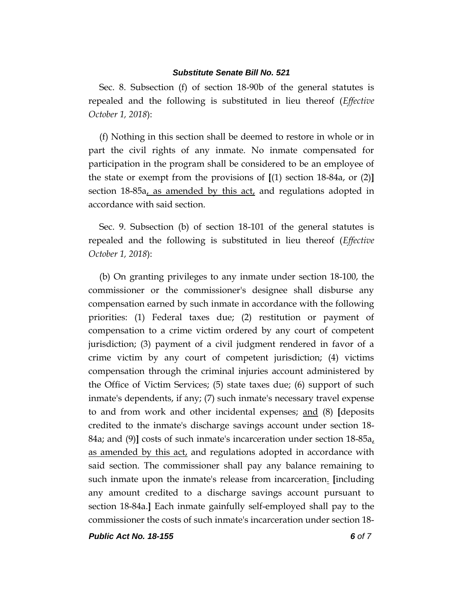Sec. 8. Subsection (f) of section 18-90b of the general statutes is repealed and the following is substituted in lieu thereof (*Effective October 1, 2018*):

(f) Nothing in this section shall be deemed to restore in whole or in part the civil rights of any inmate. No inmate compensated for participation in the program shall be considered to be an employee of the state or exempt from the provisions of **[**(1) section 18-84a, or (2)**]** section 18-85a, as amended by this act, and regulations adopted in accordance with said section.

Sec. 9. Subsection (b) of section 18-101 of the general statutes is repealed and the following is substituted in lieu thereof (*Effective October 1, 2018*):

(b) On granting privileges to any inmate under section 18-100, the commissioner or the commissioner's designee shall disburse any compensation earned by such inmate in accordance with the following priorities: (1) Federal taxes due; (2) restitution or payment of compensation to a crime victim ordered by any court of competent jurisdiction; (3) payment of a civil judgment rendered in favor of a crime victim by any court of competent jurisdiction; (4) victims compensation through the criminal injuries account administered by the Office of Victim Services; (5) state taxes due; (6) support of such inmate's dependents, if any; (7) such inmate's necessary travel expense to and from work and other incidental expenses; and (8) **[**deposits credited to the inmate's discharge savings account under section 18- 84a; and (9)**]** costs of such inmate's incarceration under section 18-85a, as amended by this act, and regulations adopted in accordance with said section. The commissioner shall pay any balance remaining to such inmate upon the inmate's release from incarceration. **[**including any amount credited to a discharge savings account pursuant to section 18-84a.**]** Each inmate gainfully self-employed shall pay to the commissioner the costs of such inmate's incarceration under section 18-

*Public Act No. 18-155 6 of 7*